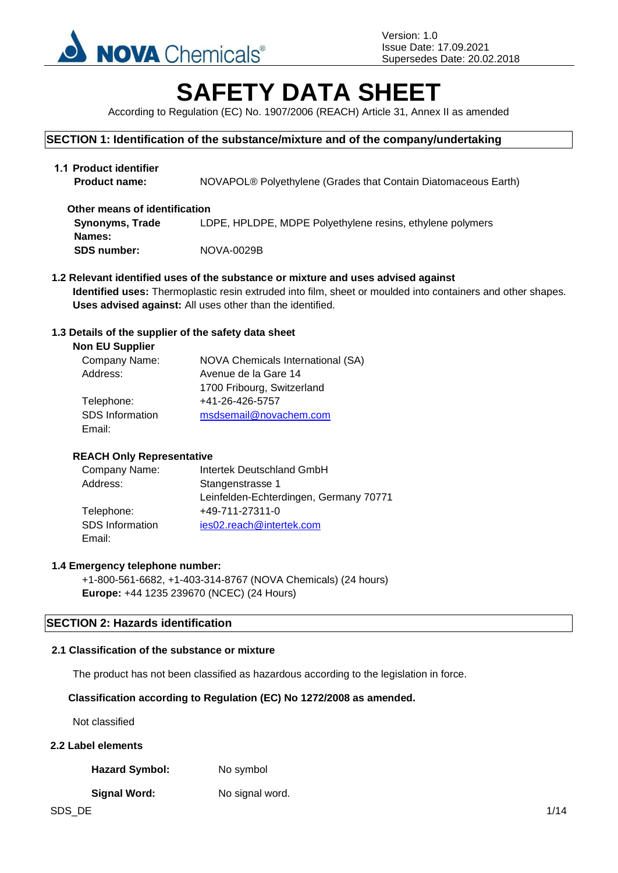

# **SAFETY DATA SHEET**

According to Regulation (EC) No. 1907/2006 (REACH) Article 31, Annex II as amended

## **SECTION 1: Identification of the substance/mixture and of the company/undertaking**

| 1.1 Product identifier<br><b>Product name:</b> | NOVAPOL® Polyethylene (Grades that Contain Diatomaceous Earth) |
|------------------------------------------------|----------------------------------------------------------------|
| Other means of identification                  |                                                                |
| <b>Synonyms, Trade</b>                         | LDPE, HPLDPE, MDPE Polyethylene resins, ethylene polymers      |
| Names:                                         |                                                                |
| <b>SDS number:</b>                             | NOVA-0029B                                                     |

**1.2 Relevant identified uses of the substance or mixture and uses advised against Identified uses:** Thermoplastic resin extruded into film, sheet or moulded into containers and other shapes. **Uses advised against:** All uses other than the identified.

## **1.3 Details of the supplier of the safety data sheet**

| <b>NOVA Chemicals International (SA)</b> |
|------------------------------------------|
| Avenue de la Gare 14                     |
| 1700 Fribourg, Switzerland               |
| +41-26-426-5757                          |
| msdsemail@novachem.com                   |
|                                          |
|                                          |

## **REACH Only Representative**

| Company Name:          | Intertek Deutschland GmbH              |
|------------------------|----------------------------------------|
| Address:               | Stangenstrasse 1                       |
|                        | Leinfelden-Echterdingen, Germany 70771 |
| Telephone:             | +49-711-27311-0                        |
| <b>SDS</b> Information | ies02.reach@intertek.com               |
| Email:                 |                                        |

## **1.4 Emergency telephone number:**

+1-800-561-6682, +1-403-314-8767 (NOVA Chemicals) (24 hours) **Europe:** +44 1235 239670 (NCEC) (24 Hours)

## **SECTION 2: Hazards identification**

#### **2.1 Classification of the substance or mixture**

The product has not been classified as hazardous according to the legislation in force.

## **Classification according to Regulation (EC) No 1272/2008 as amended.**

Not classified

# **2.2 Label elements**

Hazard Symbol: No symbol

#### **Signal Word:** No signal word.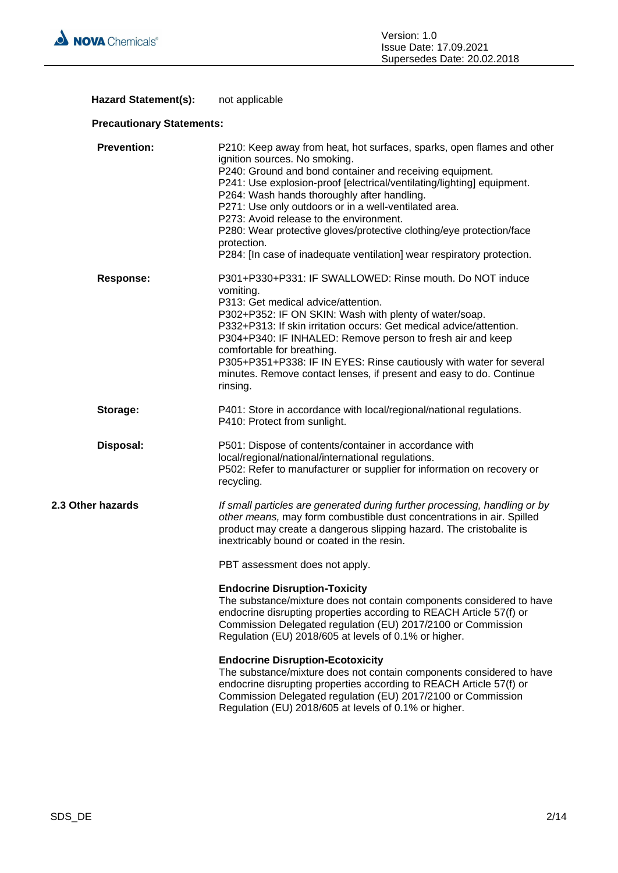

# Hazard Statement(s): not applicable

# **Precautionary Statements:**

| <b>Prevention:</b> | P210: Keep away from heat, hot surfaces, sparks, open flames and other<br>ignition sources. No smoking.<br>P240: Ground and bond container and receiving equipment.<br>P241: Use explosion-proof [electrical/ventilating/lighting] equipment.<br>P264: Wash hands thoroughly after handling.<br>P271: Use only outdoors or in a well-ventilated area.<br>P273: Avoid release to the environment.<br>P280: Wear protective gloves/protective clothing/eye protection/face<br>protection.<br>P284: [In case of inadequate ventilation] wear respiratory protection. |
|--------------------|-------------------------------------------------------------------------------------------------------------------------------------------------------------------------------------------------------------------------------------------------------------------------------------------------------------------------------------------------------------------------------------------------------------------------------------------------------------------------------------------------------------------------------------------------------------------|
| <b>Response:</b>   | P301+P330+P331: IF SWALLOWED: Rinse mouth. Do NOT induce<br>vomiting.<br>P313: Get medical advice/attention.<br>P302+P352: IF ON SKIN: Wash with plenty of water/soap.<br>P332+P313: If skin irritation occurs: Get medical advice/attention.<br>P304+P340: IF INHALED: Remove person to fresh air and keep<br>comfortable for breathing.<br>P305+P351+P338: IF IN EYES: Rinse cautiously with water for several<br>minutes. Remove contact lenses, if present and easy to do. Continue<br>rinsing.                                                               |
| Storage:           | P401: Store in accordance with local/regional/national regulations.<br>P410: Protect from sunlight.                                                                                                                                                                                                                                                                                                                                                                                                                                                               |
| Disposal:          | P501: Dispose of contents/container in accordance with<br>local/regional/national/international regulations.<br>P502: Refer to manufacturer or supplier for information on recovery or<br>recycling.                                                                                                                                                                                                                                                                                                                                                              |
| 2.3 Other hazards  | If small particles are generated during further processing, handling or by<br>other means, may form combustible dust concentrations in air. Spilled<br>product may create a dangerous slipping hazard. The cristobalite is<br>inextricably bound or coated in the resin.                                                                                                                                                                                                                                                                                          |
|                    | PBT assessment does not apply.                                                                                                                                                                                                                                                                                                                                                                                                                                                                                                                                    |
|                    | <b>Endocrine Disruption-Toxicity</b><br>The substance/mixture does not contain components considered to have<br>endocrine disrupting properties according to REACH Article 57(f) or<br>Commission Delegated regulation (EU) 2017/2100 or Commission<br>Regulation (EU) 2018/605 at levels of 0.1% or higher.                                                                                                                                                                                                                                                      |
|                    | <b>Endocrine Disruption-Ecotoxicity</b><br>The substance/mixture does not contain components considered to have<br>endocrine disrupting properties according to REACH Article 57(f) or<br>Commission Delegated regulation (EU) 2017/2100 or Commission<br>Regulation (EU) 2018/605 at levels of 0.1% or higher.                                                                                                                                                                                                                                                   |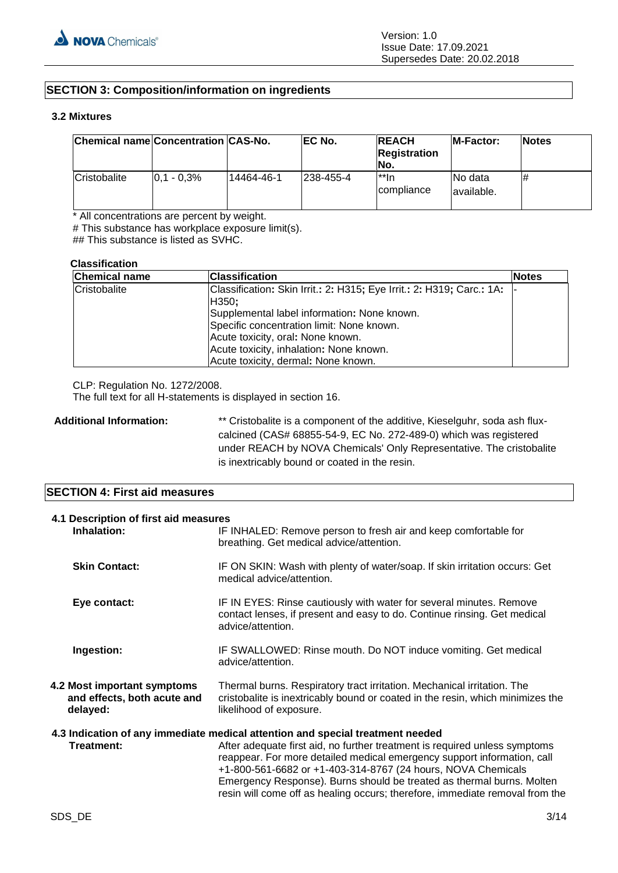# **SECTION 3: Composition/information on ingredients**

#### **3.2 Mixtures**

| Chemical name Concentration CAS-No. |                 |            | EC No.     | <b>REACH</b><br><b>Registration</b><br>INo. | <b>IM-Factor:</b>       | <b>Notes</b> |
|-------------------------------------|-----------------|------------|------------|---------------------------------------------|-------------------------|--------------|
| Cristobalite                        | $ 0.1 - 0.3\% $ | 14464-46-1 | 1238-455-4 | l**In<br><i>compliance</i>                  | INo data<br>lavailable. | #            |

\* All concentrations are percent by weight.

# This substance has workplace exposure limit(s).

## This substance is listed as SVHC.

#### **Classification**

| <b>Chemical name</b> | <b>Classification</b>                                                 | <b>Notes</b> |
|----------------------|-----------------------------------------------------------------------|--------------|
| Cristobalite         | Classification: Skin Irrit.: 2: H315; Eye Irrit.: 2: H319; Carc.: 1A: |              |
|                      | H350;                                                                 |              |
|                      | Supplemental label information: None known.                           |              |
|                      | Specific concentration limit: None known.                             |              |
|                      | Acute toxicity, oral: None known.                                     |              |
|                      | Acute toxicity, inhalation: None known.                               |              |
|                      | Acute toxicity, dermal: None known.                                   |              |

CLP: Regulation No. 1272/2008.

The full text for all H-statements is displayed in section 16.

Additional Information: \*\* Cristobalite is a component of the additive, Kieselguhr, soda ash fluxcalcined (CAS# 68855-54-9, EC No. 272-489-0) which was registered under REACH by NOVA Chemicals' Only Representative. The cristobalite is inextricably bound or coated in the resin.

## **SECTION 4: First aid measures**

| 4.1 Description of first aid measures<br>Inhalation:                                                                                                                                                                                                                                                                                                                                                                                                                           | IF INHALED: Remove person to fresh air and keep comfortable for<br>breathing. Get medical advice/attention.                                                                          |
|--------------------------------------------------------------------------------------------------------------------------------------------------------------------------------------------------------------------------------------------------------------------------------------------------------------------------------------------------------------------------------------------------------------------------------------------------------------------------------|--------------------------------------------------------------------------------------------------------------------------------------------------------------------------------------|
| <b>Skin Contact:</b>                                                                                                                                                                                                                                                                                                                                                                                                                                                           | IF ON SKIN: Wash with plenty of water/soap. If skin irritation occurs: Get<br>medical advice/attention.                                                                              |
| Eye contact:                                                                                                                                                                                                                                                                                                                                                                                                                                                                   | IF IN EYES: Rinse cautiously with water for several minutes. Remove<br>contact lenses, if present and easy to do. Continue rinsing. Get medical<br>advice/attention.                 |
| Ingestion:                                                                                                                                                                                                                                                                                                                                                                                                                                                                     | IF SWALLOWED: Rinse mouth. Do NOT induce vomiting. Get medical<br>advice/attention.                                                                                                  |
| 4.2 Most important symptoms<br>and effects, both acute and<br>delayed:                                                                                                                                                                                                                                                                                                                                                                                                         | Thermal burns. Respiratory tract irritation. Mechanical irritation. The<br>cristobalite is inextricably bound or coated in the resin, which minimizes the<br>likelihood of exposure. |
| 4.3 Indication of any immediate medical attention and special treatment needed<br>Treatment:<br>After adequate first aid, no further treatment is required unless symptoms<br>reappear. For more detailed medical emergency support information, call<br>+1-800-561-6682 or +1-403-314-8767 (24 hours, NOVA Chemicals<br>Emergency Response). Burns should be treated as thermal burns. Molten<br>resin will come off as healing occurs; therefore, immediate removal from the |                                                                                                                                                                                      |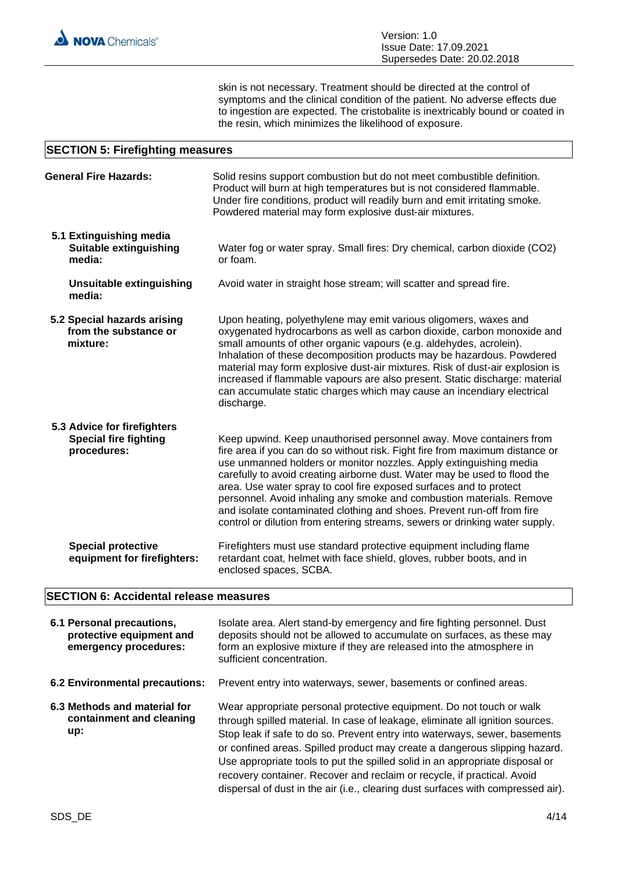skin is not necessary. Treatment should be directed at the control of symptoms and the clinical condition of the patient. No adverse effects due to ingestion are expected. The cristobalite is inextricably bound or coated in the resin, which minimizes the likelihood of exposure.

#### **SECTION 5: Firefighting measures**

|                                                             | <b>General Fire Hazards:</b>                                               | Solid resins support combustion but do not meet combustible definition.<br>Product will burn at high temperatures but is not considered flammable.<br>Under fire conditions, product will readily burn and emit irritating smoke.<br>Powdered material may form explosive dust-air mixtures.                                                                                                                                                                                                                                                                                                                  |
|-------------------------------------------------------------|----------------------------------------------------------------------------|---------------------------------------------------------------------------------------------------------------------------------------------------------------------------------------------------------------------------------------------------------------------------------------------------------------------------------------------------------------------------------------------------------------------------------------------------------------------------------------------------------------------------------------------------------------------------------------------------------------|
| 5.1 Extinguishing media<br>Suitable extinguishing<br>media: |                                                                            | Water fog or water spray. Small fires: Dry chemical, carbon dioxide (CO2)<br>or foam.                                                                                                                                                                                                                                                                                                                                                                                                                                                                                                                         |
|                                                             | <b>Unsuitable extinguishing</b><br>media:                                  | Avoid water in straight hose stream; will scatter and spread fire.                                                                                                                                                                                                                                                                                                                                                                                                                                                                                                                                            |
|                                                             | 5.2 Special hazards arising<br>from the substance or<br>mixture:           | Upon heating, polyethylene may emit various oligomers, waxes and<br>oxygenated hydrocarbons as well as carbon dioxide, carbon monoxide and<br>small amounts of other organic vapours (e.g. aldehydes, acrolein).<br>Inhalation of these decomposition products may be hazardous. Powdered<br>material may form explosive dust-air mixtures. Risk of dust-air explosion is<br>increased if flammable vapours are also present. Static discharge: material<br>can accumulate static charges which may cause an incendiary electrical<br>discharge.                                                              |
|                                                             | 5.3 Advice for firefighters<br><b>Special fire fighting</b><br>procedures: | Keep upwind. Keep unauthorised personnel away. Move containers from<br>fire area if you can do so without risk. Fight fire from maximum distance or<br>use unmanned holders or monitor nozzles. Apply extinguishing media<br>carefully to avoid creating airborne dust. Water may be used to flood the<br>area. Use water spray to cool fire exposed surfaces and to protect<br>personnel. Avoid inhaling any smoke and combustion materials. Remove<br>and isolate contaminated clothing and shoes. Prevent run-off from fire<br>control or dilution from entering streams, sewers or drinking water supply. |
|                                                             | <b>Special protective</b><br>equipment for firefighters:                   | Firefighters must use standard protective equipment including flame<br>retardant coat, helmet with face shield, gloves, rubber boots, and in<br>enclosed spaces, SCBA.                                                                                                                                                                                                                                                                                                                                                                                                                                        |

# **SECTION 6: Accidental release measures**

| 6.1 Personal precautions,<br>protective equipment and<br>emergency procedures: | Isolate area. Alert stand-by emergency and fire fighting personnel. Dust<br>deposits should not be allowed to accumulate on surfaces, as these may<br>form an explosive mixture if they are released into the atmosphere in<br>sufficient concentration.                                                                                                                                                                                                                                                                                                         |
|--------------------------------------------------------------------------------|------------------------------------------------------------------------------------------------------------------------------------------------------------------------------------------------------------------------------------------------------------------------------------------------------------------------------------------------------------------------------------------------------------------------------------------------------------------------------------------------------------------------------------------------------------------|
| 6.2 Environmental precautions:                                                 | Prevent entry into waterways, sewer, basements or confined areas.                                                                                                                                                                                                                                                                                                                                                                                                                                                                                                |
| 6.3 Methods and material for<br>containment and cleaning<br>up:                | Wear appropriate personal protective equipment. Do not touch or walk<br>through spilled material. In case of leakage, eliminate all ignition sources.<br>Stop leak if safe to do so. Prevent entry into waterways, sewer, basements<br>or confined areas. Spilled product may create a dangerous slipping hazard.<br>Use appropriate tools to put the spilled solid in an appropriate disposal or<br>recovery container. Recover and reclaim or recycle, if practical. Avoid<br>dispersal of dust in the air (i.e., clearing dust surfaces with compressed air). |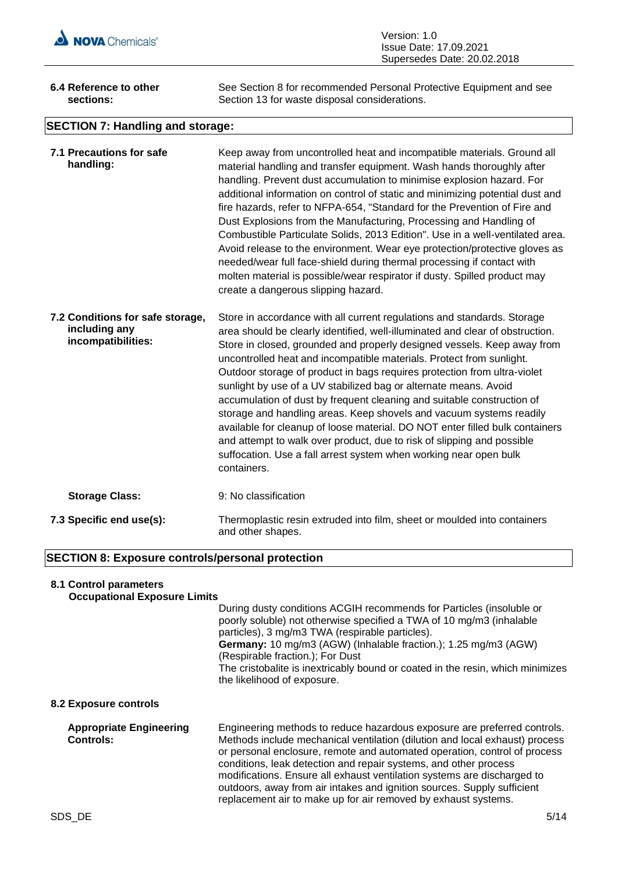

| Version: 1.0                  |
|-------------------------------|
| <b>Issue Date: 17.09.2021</b> |
| Supersedes Date: 20.02.2018   |

| 6.4 Reference to other<br>sections:                                     | See Section 8 for recommended Personal Protective Equipment and see<br>Section 13 for waste disposal considerations.                                                                                                                                                                                                                                                                                                                                                                                                                                                                                                                                                                                                                                                                                                                                       |
|-------------------------------------------------------------------------|------------------------------------------------------------------------------------------------------------------------------------------------------------------------------------------------------------------------------------------------------------------------------------------------------------------------------------------------------------------------------------------------------------------------------------------------------------------------------------------------------------------------------------------------------------------------------------------------------------------------------------------------------------------------------------------------------------------------------------------------------------------------------------------------------------------------------------------------------------|
| <b>SECTION 7: Handling and storage:</b>                                 |                                                                                                                                                                                                                                                                                                                                                                                                                                                                                                                                                                                                                                                                                                                                                                                                                                                            |
| 7.1 Precautions for safe<br>handling:                                   | Keep away from uncontrolled heat and incompatible materials. Ground all<br>material handling and transfer equipment. Wash hands thoroughly after<br>handling. Prevent dust accumulation to minimise explosion hazard. For<br>additional information on control of static and minimizing potential dust and<br>fire hazards, refer to NFPA-654, "Standard for the Prevention of Fire and<br>Dust Explosions from the Manufacturing, Processing and Handling of<br>Combustible Particulate Solids, 2013 Edition". Use in a well-ventilated area.<br>Avoid release to the environment. Wear eye protection/protective gloves as<br>needed/wear full face-shield during thermal processing if contact with<br>molten material is possible/wear respirator if dusty. Spilled product may<br>create a dangerous slipping hazard.                                 |
| 7.2 Conditions for safe storage,<br>including any<br>incompatibilities: | Store in accordance with all current regulations and standards. Storage<br>area should be clearly identified, well-illuminated and clear of obstruction.<br>Store in closed, grounded and properly designed vessels. Keep away from<br>uncontrolled heat and incompatible materials. Protect from sunlight.<br>Outdoor storage of product in bags requires protection from ultra-violet<br>sunlight by use of a UV stabilized bag or alternate means. Avoid<br>accumulation of dust by frequent cleaning and suitable construction of<br>storage and handling areas. Keep shovels and vacuum systems readily<br>available for cleanup of loose material. DO NOT enter filled bulk containers<br>and attempt to walk over product, due to risk of slipping and possible<br>suffocation. Use a fall arrest system when working near open bulk<br>containers. |
| <b>Storage Class:</b>                                                   | 9: No classification                                                                                                                                                                                                                                                                                                                                                                                                                                                                                                                                                                                                                                                                                                                                                                                                                                       |
| 7.3 Specific end use(s):                                                | Thermoplastic resin extruded into film, sheet or moulded into containers<br>and other shapes.                                                                                                                                                                                                                                                                                                                                                                                                                                                                                                                                                                                                                                                                                                                                                              |

# **SECTION 8: Exposure controls/personal protection**

# **8.1 Control parameters**

| <b>Occupational Exposure Limits</b>                |                                                                                                                                                                                                                                                                                                                                                                                                                         |
|----------------------------------------------------|-------------------------------------------------------------------------------------------------------------------------------------------------------------------------------------------------------------------------------------------------------------------------------------------------------------------------------------------------------------------------------------------------------------------------|
|                                                    | During dusty conditions ACGIH recommends for Particles (insoluble or<br>poorly soluble) not otherwise specified a TWA of 10 mg/m3 (inhalable<br>particles), 3 mg/m3 TWA (respirable particles).<br>Germany: 10 mg/m3 (AGW) (Inhalable fraction.); 1.25 mg/m3 (AGW)<br>(Respirable fraction.); For Dust<br>The cristobalite is inextricably bound or coated in the resin, which minimizes<br>the likelihood of exposure. |
| 8.2 Exposure controls                              |                                                                                                                                                                                                                                                                                                                                                                                                                         |
| <b>Appropriate Engineering</b><br><b>Controls:</b> | Engineering methods to reduce hazardous exposure are preferred controls.<br>Methods include mechanical ventilation (dilution and local exhaust) process<br>or personal enclosure, remote and automated operation, control of process                                                                                                                                                                                    |

conditions, leak detection and repair systems, and other process modifications. Ensure all exhaust ventilation systems are discharged to outdoors, away from air intakes and ignition sources. Supply sufficient replacement air to make up for air removed by exhaust systems.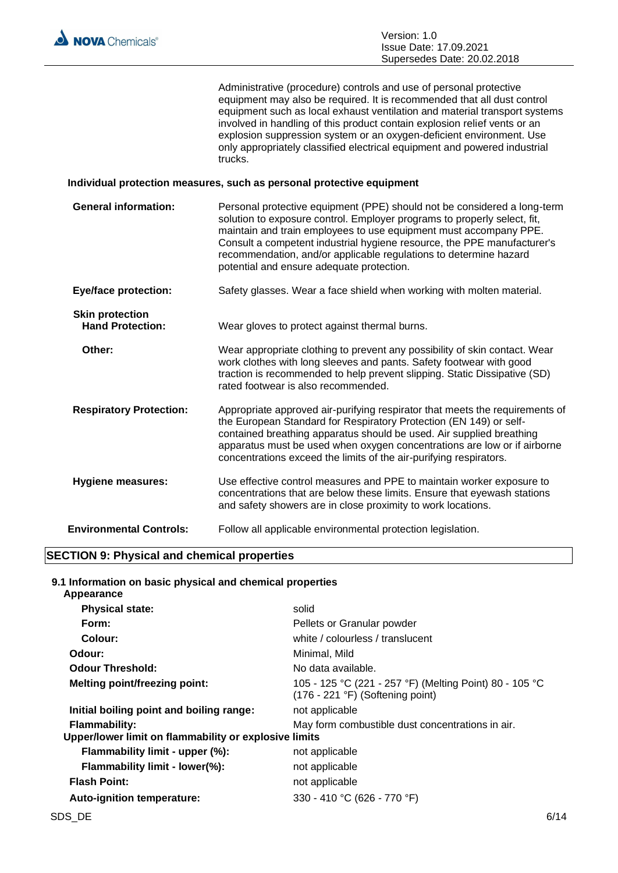

Administrative (procedure) controls and use of personal protective equipment may also be required. It is recommended that all dust control equipment such as local exhaust ventilation and material transport systems involved in handling of this product contain explosion relief vents or an explosion suppression system or an oxygen-deficient environment. Use only appropriately classified electrical equipment and powered industrial trucks.

#### **Individual protection measures, such as personal protective equipment**

| <b>General information:</b>                       | Personal protective equipment (PPE) should not be considered a long-term<br>solution to exposure control. Employer programs to properly select, fit,<br>maintain and train employees to use equipment must accompany PPE.<br>Consult a competent industrial hygiene resource, the PPE manufacturer's<br>recommendation, and/or applicable regulations to determine hazard<br>potential and ensure adequate protection. |
|---------------------------------------------------|------------------------------------------------------------------------------------------------------------------------------------------------------------------------------------------------------------------------------------------------------------------------------------------------------------------------------------------------------------------------------------------------------------------------|
| <b>Eye/face protection:</b>                       | Safety glasses. Wear a face shield when working with molten material.                                                                                                                                                                                                                                                                                                                                                  |
| <b>Skin protection</b><br><b>Hand Protection:</b> | Wear gloves to protect against thermal burns.                                                                                                                                                                                                                                                                                                                                                                          |
| Other:                                            | Wear appropriate clothing to prevent any possibility of skin contact. Wear<br>work clothes with long sleeves and pants. Safety footwear with good<br>traction is recommended to help prevent slipping. Static Dissipative (SD)<br>rated footwear is also recommended.                                                                                                                                                  |
| <b>Respiratory Protection:</b>                    | Appropriate approved air-purifying respirator that meets the requirements of<br>the European Standard for Respiratory Protection (EN 149) or self-<br>contained breathing apparatus should be used. Air supplied breathing<br>apparatus must be used when oxygen concentrations are low or if airborne<br>concentrations exceed the limits of the air-purifying respirators.                                           |
| <b>Hygiene measures:</b>                          | Use effective control measures and PPE to maintain worker exposure to<br>concentrations that are below these limits. Ensure that eyewash stations<br>and safety showers are in close proximity to work locations.                                                                                                                                                                                                      |
| <b>Environmental Controls:</b>                    | Follow all applicable environmental protection legislation.                                                                                                                                                                                                                                                                                                                                                            |

# **SECTION 9: Physical and chemical properties**

**9.1 Information on basic physical and chemical properties Appearance**

| <b>Appearance</b>                                     |                                                                                                      |
|-------------------------------------------------------|------------------------------------------------------------------------------------------------------|
| <b>Physical state:</b>                                | solid                                                                                                |
| Form:                                                 | Pellets or Granular powder                                                                           |
| Colour:                                               | white / colourless / translucent                                                                     |
| Odour:                                                | Minimal, Mild                                                                                        |
| <b>Odour Threshold:</b>                               | No data available.                                                                                   |
| <b>Melting point/freezing point:</b>                  | 105 - 125 °C (221 - 257 °F) (Melting Point) 80 - 105 °C<br>$(176 - 221 \degree F)$ (Softening point) |
| Initial boiling point and boiling range:              | not applicable                                                                                       |
| <b>Flammability:</b>                                  | May form combustible dust concentrations in air.                                                     |
| Upper/lower limit on flammability or explosive limits |                                                                                                      |
| Flammability limit - upper (%):                       | not applicable                                                                                       |
| Flammability limit - lower(%):                        | not applicable                                                                                       |
| <b>Flash Point:</b>                                   | not applicable                                                                                       |
| Auto-ignition temperature:                            | 330 - 410 °C (626 - 770 °F)                                                                          |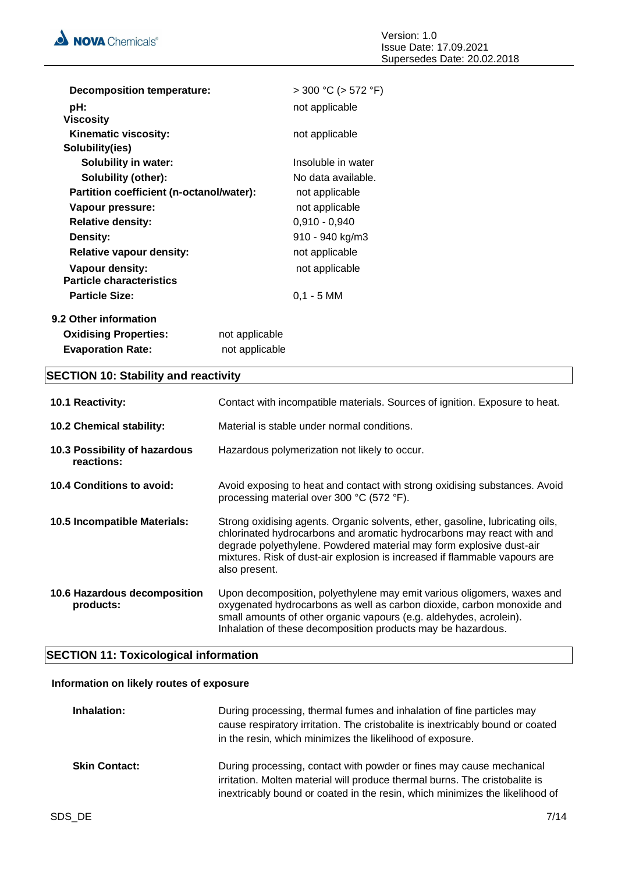

| <b>Decomposition temperature:</b>                  |                | $>$ 300 °C ( $>$ 572 °F) |
|----------------------------------------------------|----------------|--------------------------|
| pH:<br><b>Viscosity</b>                            |                | not applicable           |
| Kinematic viscosity:<br>Solubility(ies)            |                | not applicable           |
| <b>Solubility in water:</b>                        |                | Insoluble in water       |
| Solubility (other):                                |                | No data available.       |
| Partition coefficient (n-octanol/water):           |                | not applicable           |
| Vapour pressure:                                   |                | not applicable           |
| <b>Relative density:</b>                           |                | $0,910 - 0,940$          |
| Density:                                           |                | 910 - 940 kg/m3          |
| <b>Relative vapour density:</b>                    |                | not applicable           |
| Vapour density:<br><b>Particle characteristics</b> |                | not applicable           |
| <b>Particle Size:</b>                              |                | $0,1 - 5$ MM             |
| 9.2 Other information                              |                |                          |
| <b>Oxidising Properties:</b>                       | not applicable |                          |
| <b>Evaporation Rate:</b>                           | not applicable |                          |

# **SECTION 10: Stability and reactivity**

| 10.1 Reactivity:                            | Contact with incompatible materials. Sources of ignition. Exposure to heat.                                                                                                                                                                                                                                                  |
|---------------------------------------------|------------------------------------------------------------------------------------------------------------------------------------------------------------------------------------------------------------------------------------------------------------------------------------------------------------------------------|
| <b>10.2 Chemical stability:</b>             | Material is stable under normal conditions.                                                                                                                                                                                                                                                                                  |
| 10.3 Possibility of hazardous<br>reactions: | Hazardous polymerization not likely to occur.                                                                                                                                                                                                                                                                                |
| 10.4 Conditions to avoid:                   | Avoid exposing to heat and contact with strong oxidising substances. Avoid<br>processing material over 300 °C (572 °F).                                                                                                                                                                                                      |
| 10.5 Incompatible Materials:                | Strong oxidising agents. Organic solvents, ether, gasoline, lubricating oils,<br>chlorinated hydrocarbons and aromatic hydrocarbons may react with and<br>degrade polyethylene. Powdered material may form explosive dust-air<br>mixtures. Risk of dust-air explosion is increased if flammable vapours are<br>also present. |
| 10.6 Hazardous decomposition<br>products:   | Upon decomposition, polyethylene may emit various oligomers, waxes and<br>oxygenated hydrocarbons as well as carbon dioxide, carbon monoxide and<br>small amounts of other organic vapours (e.g. aldehydes, acrolein).<br>Inhalation of these decomposition products may be hazardous.                                       |

# **SECTION 11: Toxicological information**

#### **Information on likely routes of exposure**

| Inhalation:          | During processing, thermal fumes and inhalation of fine particles may<br>cause respiratory irritation. The cristobalite is inextricably bound or coated<br>in the resin, which minimizes the likelihood of exposure.                |
|----------------------|-------------------------------------------------------------------------------------------------------------------------------------------------------------------------------------------------------------------------------------|
| <b>Skin Contact:</b> | During processing, contact with powder or fines may cause mechanical<br>irritation. Molten material will produce thermal burns. The cristobalite is<br>inextricably bound or coated in the resin, which minimizes the likelihood of |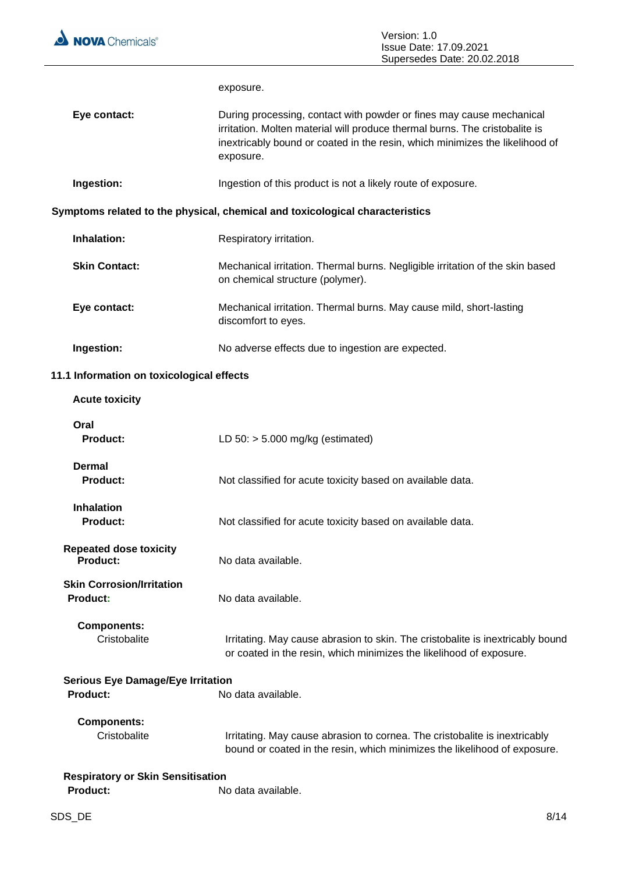

|              | Supersedes Date: 20.02.2018                                                                                                                                                                                                                      |
|--------------|--------------------------------------------------------------------------------------------------------------------------------------------------------------------------------------------------------------------------------------------------|
|              | exposure.                                                                                                                                                                                                                                        |
| Eye contact: | During processing, contact with powder or fines may cause mechanical<br>irritation. Molten material will produce thermal burns. The cristobalite is<br>inextricably bound or coated in the resin, which minimizes the likelihood of<br>exposure. |

**Ingestion:** Ingestion of this product is not a likely route of exposure.

# **Symptoms related to the physical, chemical and toxicological characteristics**

| Inhalation:          | Respiratory irritation.                                                                                           |
|----------------------|-------------------------------------------------------------------------------------------------------------------|
| <b>Skin Contact:</b> | Mechanical irritation. Thermal burns. Negligible irritation of the skin based<br>on chemical structure (polymer). |
| Eye contact:         | Mechanical irritation. Thermal burns. May cause mild, short-lasting<br>discomfort to eyes.                        |
| Ingestion:           | No adverse effects due to ingestion are expected.                                                                 |

# **11.1 Information on toxicological effects**

| <b>Acute toxicity</b>                        |                                                                                                                                                         |
|----------------------------------------------|---------------------------------------------------------------------------------------------------------------------------------------------------------|
| Oral<br><b>Product:</b>                      | LD $50:$ > 5.000 mg/kg (estimated)                                                                                                                      |
| <b>Dermal</b><br>Product:                    | Not classified for acute toxicity based on available data.                                                                                              |
| <b>Inhalation</b><br><b>Product:</b>         | Not classified for acute toxicity based on available data.                                                                                              |
| <b>Repeated dose toxicity</b><br>Product:    | No data available.                                                                                                                                      |
| <b>Skin Corrosion/Irritation</b><br>Product: | No data available.                                                                                                                                      |
| <b>Components:</b><br>Cristobalite           | Irritating. May cause abrasion to skin. The cristobalite is inextricably bound<br>or coated in the resin, which minimizes the likelihood of exposure.   |
| <b>Serious Eye Damage/Eye Irritation</b>     |                                                                                                                                                         |
| Product:                                     | No data available.                                                                                                                                      |
| <b>Components:</b><br>Cristobalite           | Irritating. May cause abrasion to cornea. The cristobalite is inextricably<br>bound or coated in the resin, which minimizes the likelihood of exposure. |
| <b>Respiratory or Skin Sensitisation</b>     |                                                                                                                                                         |
| <b>Product:</b>                              | No data available.                                                                                                                                      |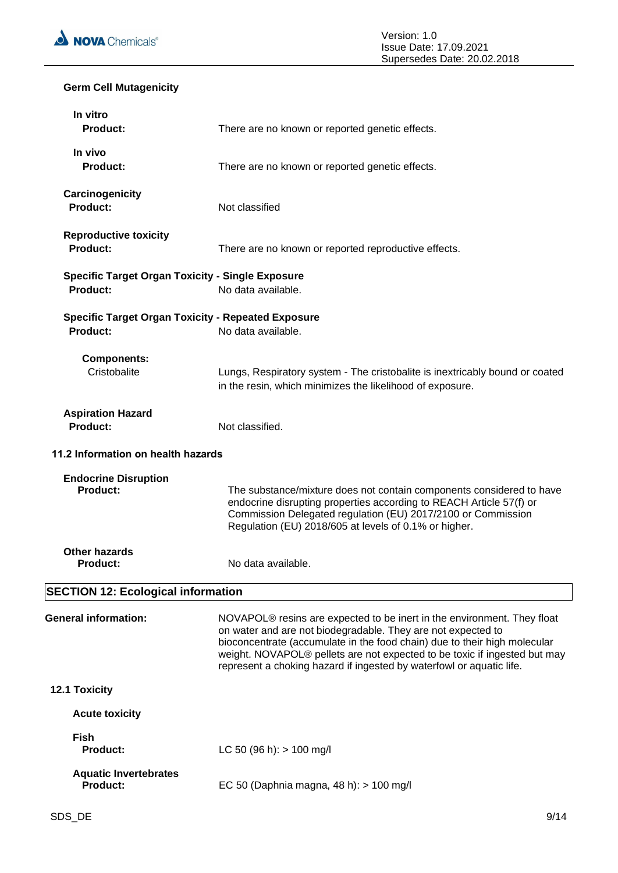

# **Germ Cell Mutagenicity**

| In vitro<br><b>Product:</b>                                           | There are no known or reported genetic effects.                                                                                                                                                                                                                                                                                                                           |
|-----------------------------------------------------------------------|---------------------------------------------------------------------------------------------------------------------------------------------------------------------------------------------------------------------------------------------------------------------------------------------------------------------------------------------------------------------------|
| In vivo<br><b>Product:</b>                                            | There are no known or reported genetic effects.                                                                                                                                                                                                                                                                                                                           |
| Carcinogenicity<br><b>Product:</b>                                    | Not classified                                                                                                                                                                                                                                                                                                                                                            |
| <b>Reproductive toxicity</b><br><b>Product:</b>                       | There are no known or reported reproductive effects.                                                                                                                                                                                                                                                                                                                      |
| <b>Specific Target Organ Toxicity - Single Exposure</b><br>Product:   | No data available.                                                                                                                                                                                                                                                                                                                                                        |
| <b>Specific Target Organ Toxicity - Repeated Exposure</b><br>Product: | No data available.                                                                                                                                                                                                                                                                                                                                                        |
| <b>Components:</b><br>Cristobalite                                    | Lungs, Respiratory system - The cristobalite is inextricably bound or coated<br>in the resin, which minimizes the likelihood of exposure.                                                                                                                                                                                                                                 |
| <b>Aspiration Hazard</b><br><b>Product:</b>                           | Not classified.                                                                                                                                                                                                                                                                                                                                                           |
| 11.2 Information on health hazards                                    |                                                                                                                                                                                                                                                                                                                                                                           |
| <b>Endocrine Disruption</b><br>Product:                               | The substance/mixture does not contain components considered to have<br>endocrine disrupting properties according to REACH Article 57(f) or<br>Commission Delegated regulation (EU) 2017/2100 or Commission<br>Regulation (EU) 2018/605 at levels of 0.1% or higher.                                                                                                      |
| <b>Other hazards</b><br><b>Product:</b>                               | No data available.                                                                                                                                                                                                                                                                                                                                                        |
| <b>SECTION 12: Ecological information</b>                             |                                                                                                                                                                                                                                                                                                                                                                           |
| <b>General information:</b>                                           | NOVAPOL® resins are expected to be inert in the environment. They float<br>on water and are not biodegradable. They are not expected to<br>bioconcentrate (accumulate in the food chain) due to their high molecular<br>weight. NOVAPOL® pellets are not expected to be toxic if ingested but may<br>represent a choking hazard if ingested by waterfowl or aquatic life. |
| 12.1 Toxicity                                                         |                                                                                                                                                                                                                                                                                                                                                                           |
| <b>Acute toxicity</b>                                                 |                                                                                                                                                                                                                                                                                                                                                                           |
| <b>Fish</b><br><b>Product:</b>                                        | LC 50 (96 h): $> 100$ mg/l                                                                                                                                                                                                                                                                                                                                                |
| <b>Aquatic Invertebrates</b><br><b>Product:</b>                       | EC 50 (Daphnia magna, 48 h): > 100 mg/l                                                                                                                                                                                                                                                                                                                                   |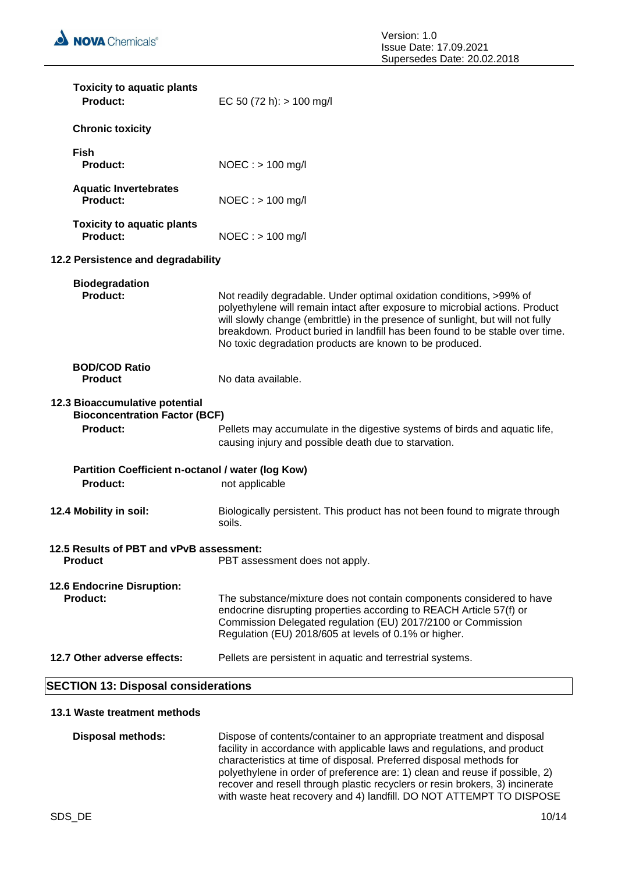| <b>Toxicity to aquatic plants</b><br>Product:                          | EC 50 (72 h): $> 100$ mg/l                                                                                                                                                                                                                                                                                                                                                       |
|------------------------------------------------------------------------|----------------------------------------------------------------------------------------------------------------------------------------------------------------------------------------------------------------------------------------------------------------------------------------------------------------------------------------------------------------------------------|
| <b>Chronic toxicity</b>                                                |                                                                                                                                                                                                                                                                                                                                                                                  |
| <b>Fish</b><br>Product:                                                | $NOEC : > 100$ mg/l                                                                                                                                                                                                                                                                                                                                                              |
| <b>Aquatic Invertebrates</b><br>Product:                               | $NOEC : > 100$ mg/l                                                                                                                                                                                                                                                                                                                                                              |
| <b>Toxicity to aquatic plants</b><br>Product:                          | $NOEC : > 100$ mg/l                                                                                                                                                                                                                                                                                                                                                              |
| 12.2 Persistence and degradability                                     |                                                                                                                                                                                                                                                                                                                                                                                  |
| <b>Biodegradation</b><br>Product:                                      | Not readily degradable. Under optimal oxidation conditions, >99% of<br>polyethylene will remain intact after exposure to microbial actions. Product<br>will slowly change (embrittle) in the presence of sunlight, but will not fully<br>breakdown. Product buried in landfill has been found to be stable over time.<br>No toxic degradation products are known to be produced. |
| <b>BOD/COD Ratio</b><br><b>Product</b>                                 | No data available.                                                                                                                                                                                                                                                                                                                                                               |
| 12.3 Bioaccumulative potential<br><b>Bioconcentration Factor (BCF)</b> |                                                                                                                                                                                                                                                                                                                                                                                  |
| Product:                                                               | Pellets may accumulate in the digestive systems of birds and aquatic life,<br>causing injury and possible death due to starvation.                                                                                                                                                                                                                                               |
| Partition Coefficient n-octanol / water (log Kow)<br><b>Product:</b>   | not applicable                                                                                                                                                                                                                                                                                                                                                                   |
| 12.4 Mobility in soil:                                                 | Biologically persistent. This product has not been found to migrate through<br>soils.                                                                                                                                                                                                                                                                                            |
| 12.5 Results of PBT and vPvB assessment:<br><b>Product</b>             | PBT assessment does not apply.                                                                                                                                                                                                                                                                                                                                                   |
| 12.6 Endocrine Disruption:<br><b>Product:</b>                          | The substance/mixture does not contain components considered to have<br>endocrine disrupting properties according to REACH Article 57(f) or<br>Commission Delegated regulation (EU) 2017/2100 or Commission<br>Regulation (EU) 2018/605 at levels of 0.1% or higher.                                                                                                             |
| 12.7 Other adverse effects:                                            | Pellets are persistent in aquatic and terrestrial systems.                                                                                                                                                                                                                                                                                                                       |
| <b>SECTION 13: Disposal considerations</b>                             |                                                                                                                                                                                                                                                                                                                                                                                  |

# **13.1 Waste treatment methods**

| Dispose of contents/container to an appropriate treatment and disposal<br>facility in accordance with applicable laws and regulations, and product  |
|-----------------------------------------------------------------------------------------------------------------------------------------------------|
| characteristics at time of disposal. Preferred disposal methods for<br>polyethylene in order of preference are: 1) clean and reuse if possible, 2)  |
| recover and resell through plastic recyclers or resin brokers, 3) incinerate<br>with waste heat recovery and 4) landfill. DO NOT ATTEMPT TO DISPOSE |
|                                                                                                                                                     |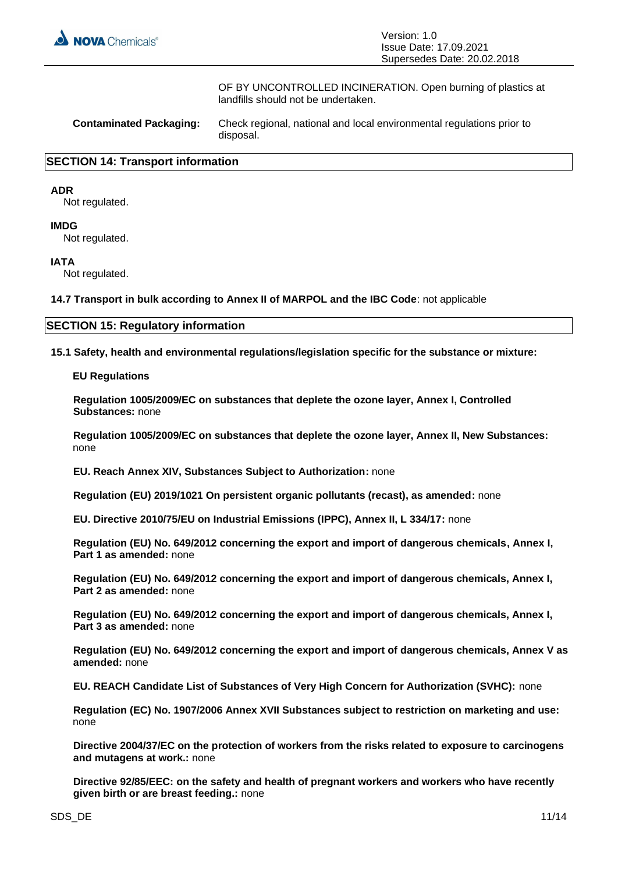

OF BY UNCONTROLLED INCINERATION. Open burning of plastics at landfills should not be undertaken.

| <b>Contaminated Packaging:</b> | Check regional, national and local environmental regulations prior to<br>disposal. |
|--------------------------------|------------------------------------------------------------------------------------|
|--------------------------------|------------------------------------------------------------------------------------|

#### **SECTION 14: Transport information**

#### **ADR**

Not regulated.

#### **IMDG**

Not regulated.

#### **IATA**

Not regulated.

**14.7 Transport in bulk according to Annex II of MARPOL and the IBC Code**: not applicable

#### **SECTION 15: Regulatory information**

**15.1 Safety, health and environmental regulations/legislation specific for the substance or mixture:**

**EU Regulations**

**Regulation 1005/2009/EC on substances that deplete the ozone layer, Annex I, Controlled Substances:** none

**Regulation 1005/2009/EC on substances that deplete the ozone layer, Annex II, New Substances:**  none

**EU. Reach Annex XIV, Substances Subject to Authorization:** none

**Regulation (EU) 2019/1021 On persistent organic pollutants (recast), as amended:** none

**EU. Directive 2010/75/EU on Industrial Emissions (IPPC), Annex II, L 334/17:** none

**Regulation (EU) No. 649/2012 concerning the export and import of dangerous chemicals, Annex I, Part 1 as amended:** none

**Regulation (EU) No. 649/2012 concerning the export and import of dangerous chemicals, Annex I, Part 2 as amended:** none

**Regulation (EU) No. 649/2012 concerning the export and import of dangerous chemicals, Annex I, Part 3 as amended:** none

**Regulation (EU) No. 649/2012 concerning the export and import of dangerous chemicals, Annex V as amended:** none

**EU. REACH Candidate List of Substances of Very High Concern for Authorization (SVHC):** none

**Regulation (EC) No. 1907/2006 Annex XVII Substances subject to restriction on marketing and use:**  none

**Directive 2004/37/EC on the protection of workers from the risks related to exposure to carcinogens and mutagens at work.:** none

**Directive 92/85/EEC: on the safety and health of pregnant workers and workers who have recently given birth or are breast feeding.:** none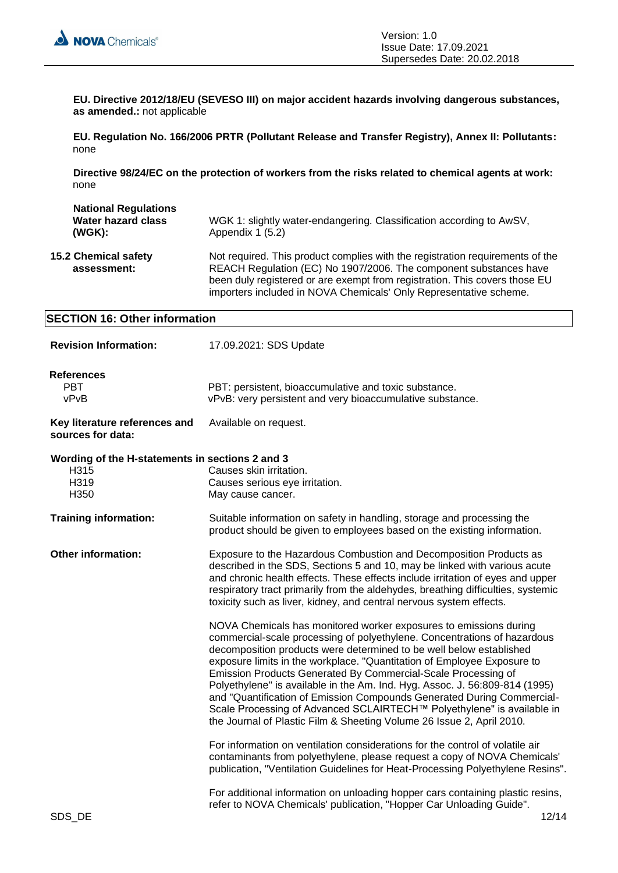

**EU. Directive 2012/18/EU (SEVESO III) on major accident hazards involving dangerous substances, as amended.:** not applicable

**EU. Regulation No. 166/2006 PRTR (Pollutant Release and Transfer Registry), Annex II: Pollutants:**  none

**Directive 98/24/EC on the protection of workers from the risks related to chemical agents at work:**  none

| <b>National Regulations</b><br><b>Water hazard class</b><br>(WGK): | WGK 1: slightly water-endangering. Classification according to AwSV,<br>Appendix 1 (5.2)                                                                                                                                                                                                              |
|--------------------------------------------------------------------|-------------------------------------------------------------------------------------------------------------------------------------------------------------------------------------------------------------------------------------------------------------------------------------------------------|
| <b>15.2 Chemical safety</b><br>assessment:                         | Not required. This product complies with the registration requirements of the<br>REACH Regulation (EC) No 1907/2006. The component substances have<br>been duly registered or are exempt from registration. This covers those EU<br>importers included in NOVA Chemicals' Only Representative scheme. |

#### **SECTION 16: Other information**

| <b>Revision Information:</b>                                                         | 17.09.2021: SDS Update                                                                                                                                                                                                                                                                                                                                                                                                                                                                                                                                                                                                                                                       |
|--------------------------------------------------------------------------------------|------------------------------------------------------------------------------------------------------------------------------------------------------------------------------------------------------------------------------------------------------------------------------------------------------------------------------------------------------------------------------------------------------------------------------------------------------------------------------------------------------------------------------------------------------------------------------------------------------------------------------------------------------------------------------|
| <b>References</b><br><b>PBT</b><br>vPvB                                              | PBT: persistent, bioaccumulative and toxic substance.<br>vPvB: very persistent and very bioaccumulative substance.                                                                                                                                                                                                                                                                                                                                                                                                                                                                                                                                                           |
| Key literature references and<br>sources for data:                                   | Available on request.                                                                                                                                                                                                                                                                                                                                                                                                                                                                                                                                                                                                                                                        |
| Wording of the H-statements in sections 2 and 3<br>H <sub>3</sub> 15<br>H319<br>H350 | Causes skin irritation.<br>Causes serious eye irritation.<br>May cause cancer.                                                                                                                                                                                                                                                                                                                                                                                                                                                                                                                                                                                               |
| <b>Training information:</b>                                                         | Suitable information on safety in handling, storage and processing the<br>product should be given to employees based on the existing information.                                                                                                                                                                                                                                                                                                                                                                                                                                                                                                                            |
| <b>Other information:</b>                                                            | Exposure to the Hazardous Combustion and Decomposition Products as<br>described in the SDS, Sections 5 and 10, may be linked with various acute<br>and chronic health effects. These effects include irritation of eyes and upper<br>respiratory tract primarily from the aldehydes, breathing difficulties, systemic<br>toxicity such as liver, kidney, and central nervous system effects.                                                                                                                                                                                                                                                                                 |
|                                                                                      | NOVA Chemicals has monitored worker exposures to emissions during<br>commercial-scale processing of polyethylene. Concentrations of hazardous<br>decomposition products were determined to be well below established<br>exposure limits in the workplace. "Quantitation of Employee Exposure to<br>Emission Products Generated By Commercial-Scale Processing of<br>Polyethylene" is available in the Am. Ind. Hyg. Assoc. J. 56:809-814 (1995)<br>and "Quantification of Emission Compounds Generated During Commercial-<br>Scale Processing of Advanced SCLAIRTECH™ Polyethylene" is available in<br>the Journal of Plastic Film & Sheeting Volume 26 Issue 2, April 2010. |
|                                                                                      | For information on ventilation considerations for the control of volatile air<br>contaminants from polyethylene, please request a copy of NOVA Chemicals'<br>publication, "Ventilation Guidelines for Heat-Processing Polyethylene Resins".                                                                                                                                                                                                                                                                                                                                                                                                                                  |
| SDS DE                                                                               | For additional information on unloading hopper cars containing plastic resins,<br>refer to NOVA Chemicals' publication, "Hopper Car Unloading Guide".<br>12/14                                                                                                                                                                                                                                                                                                                                                                                                                                                                                                               |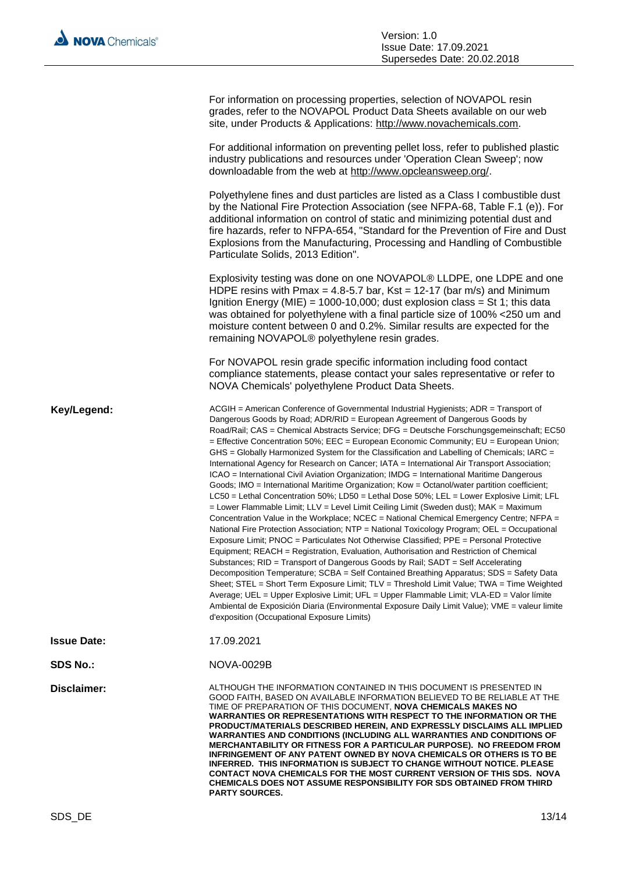| For information on processing properties, selection of NOVAPOL resin<br>grades, refer to the NOVAPOL Product Data Sheets available on our web<br>site, under Products & Applications: http://www.novachemicals.com.                                                                                                                                                                                                                                                                                                                                                                                                                                                                                                                                                                                                                                                                                                                                                                                                                                                                                                                                                                                                                                                                                                                                                                                                                                                                                                                                                                                                                                                                                                                                                                                                                                 |
|-----------------------------------------------------------------------------------------------------------------------------------------------------------------------------------------------------------------------------------------------------------------------------------------------------------------------------------------------------------------------------------------------------------------------------------------------------------------------------------------------------------------------------------------------------------------------------------------------------------------------------------------------------------------------------------------------------------------------------------------------------------------------------------------------------------------------------------------------------------------------------------------------------------------------------------------------------------------------------------------------------------------------------------------------------------------------------------------------------------------------------------------------------------------------------------------------------------------------------------------------------------------------------------------------------------------------------------------------------------------------------------------------------------------------------------------------------------------------------------------------------------------------------------------------------------------------------------------------------------------------------------------------------------------------------------------------------------------------------------------------------------------------------------------------------------------------------------------------------|
| For additional information on preventing pellet loss, refer to published plastic<br>industry publications and resources under 'Operation Clean Sweep'; now<br>downloadable from the web at http://www.opcleansweep.org/.                                                                                                                                                                                                                                                                                                                                                                                                                                                                                                                                                                                                                                                                                                                                                                                                                                                                                                                                                                                                                                                                                                                                                                                                                                                                                                                                                                                                                                                                                                                                                                                                                            |
| Polyethylene fines and dust particles are listed as a Class I combustible dust<br>by the National Fire Protection Association (see NFPA-68, Table F.1 (e)). For<br>additional information on control of static and minimizing potential dust and<br>fire hazards, refer to NFPA-654, "Standard for the Prevention of Fire and Dust<br>Explosions from the Manufacturing, Processing and Handling of Combustible<br>Particulate Solids, 2013 Edition".                                                                                                                                                                                                                                                                                                                                                                                                                                                                                                                                                                                                                                                                                                                                                                                                                                                                                                                                                                                                                                                                                                                                                                                                                                                                                                                                                                                               |
| Explosivity testing was done on one NOVAPOL® LLDPE, one LDPE and one<br>HDPE resins with Pmax = 4.8-5.7 bar, Kst = 12-17 (bar m/s) and Minimum<br>Ignition Energy (MIE) = 1000-10,000; dust explosion class = St 1; this data<br>was obtained for polyethylene with a final particle size of 100% <250 um and<br>moisture content between 0 and 0.2%. Similar results are expected for the<br>remaining NOVAPOL® polyethylene resin grades.                                                                                                                                                                                                                                                                                                                                                                                                                                                                                                                                                                                                                                                                                                                                                                                                                                                                                                                                                                                                                                                                                                                                                                                                                                                                                                                                                                                                         |
| For NOVAPOL resin grade specific information including food contact<br>compliance statements, please contact your sales representative or refer to<br>NOVA Chemicals' polyethylene Product Data Sheets.                                                                                                                                                                                                                                                                                                                                                                                                                                                                                                                                                                                                                                                                                                                                                                                                                                                                                                                                                                                                                                                                                                                                                                                                                                                                                                                                                                                                                                                                                                                                                                                                                                             |
| ACGIH = American Conference of Governmental Industrial Hygienists; ADR = Transport of<br>Dangerous Goods by Road; ADR/RID = European Agreement of Dangerous Goods by<br>Road/Rail; CAS = Chemical Abstracts Service; DFG = Deutsche Forschungsgemeinschaft; EC50<br>= Effective Concentration 50%; EEC = European Economic Community; EU = European Union;<br>GHS = Globally Harmonized System for the Classification and Labelling of Chemicals; IARC =<br>International Agency for Research on Cancer; IATA = International Air Transport Association;<br>ICAO = International Civil Aviation Organization; IMDG = International Maritime Dangerous<br>Goods; IMO = International Maritime Organization; Kow = Octanol/water partition coefficient;<br>LC50 = Lethal Concentration 50%; LD50 = Lethal Dose 50%; LEL = Lower Explosive Limit; LFL<br>= Lower Flammable Limit; LLV = Level Limit Ceiling Limit (Sweden dust); MAK = Maximum<br>Concentration Value in the Workplace; NCEC = National Chemical Emergency Centre; NFPA =<br>National Fire Protection Association; NTP = National Toxicology Program; OEL = Occupational<br>Exposure Limit; PNOC = Particulates Not Otherwise Classified; PPE = Personal Protective<br>Equipment; REACH = Registration, Evaluation, Authorisation and Restriction of Chemical<br>Substances; RID = Transport of Dangerous Goods by Rail; SADT = Self Accelerating<br>Decomposition Temperature; SCBA = Self Contained Breathing Apparatus; SDS = Safety Data<br>Sheet: STEL = Short Term Exposure Limit: TLV = Threshold Limit Value: TWA = Time Weighted<br>Average; UEL = Upper Explosive Limit; UFL = Upper Flammable Limit; VLA-ED = Valor límite<br>Ambiental de Exposición Diaria (Environmental Exposure Daily Limit Value); VME = valeur limite<br>d'exposition (Occupational Exposure Limits) |
| 17.09.2021                                                                                                                                                                                                                                                                                                                                                                                                                                                                                                                                                                                                                                                                                                                                                                                                                                                                                                                                                                                                                                                                                                                                                                                                                                                                                                                                                                                                                                                                                                                                                                                                                                                                                                                                                                                                                                          |
| <b>NOVA-0029B</b>                                                                                                                                                                                                                                                                                                                                                                                                                                                                                                                                                                                                                                                                                                                                                                                                                                                                                                                                                                                                                                                                                                                                                                                                                                                                                                                                                                                                                                                                                                                                                                                                                                                                                                                                                                                                                                   |
| ALTHOUGH THE INFORMATION CONTAINED IN THIS DOCUMENT IS PRESENTED IN<br>GOOD FAITH, BASED ON AVAILABLE INFORMATION BELIEVED TO BE RELIABLE AT THE<br>TIME OF PREPARATION OF THIS DOCUMENT, <b>NOVA CHEMICALS MAKES NO</b><br>WARRANTIES OR REPRESENTATIONS WITH RESPECT TO THE INFORMATION OR THE<br>PRODUCT/MATERIALS DESCRIBED HEREIN, AND EXPRESSLY DISCLAIMS ALL IMPLIED<br><b>WARRANTIES AND CONDITIONS (INCLUDING ALL WARRANTIES AND CONDITIONS OF</b><br>MERCHANTABILITY OR FITNESS FOR A PARTICULAR PURPOSE). NO FREEDOM FROM<br><b>INFRINGEMENT OF ANY PATENT OWNED BY NOVA CHEMICALS OR OTHERS IS TO BE</b><br>INFERRED. THIS INFORMATION IS SUBJECT TO CHANGE WITHOUT NOTICE. PLEASE<br>CONTACT NOVA CHEMICALS FOR THE MOST CURRENT VERSION OF THIS SDS. NOVA<br>CHEMICALS DOES NOT ASSUME RESPONSIBILITY FOR SDS OBTAINED FROM THIRD<br><b>PARTY SOURCES.</b>                                                                                                                                                                                                                                                                                                                                                                                                                                                                                                                                                                                                                                                                                                                                                                                                                                                                                                                                                                            |
|                                                                                                                                                                                                                                                                                                                                                                                                                                                                                                                                                                                                                                                                                                                                                                                                                                                                                                                                                                                                                                                                                                                                                                                                                                                                                                                                                                                                                                                                                                                                                                                                                                                                                                                                                                                                                                                     |